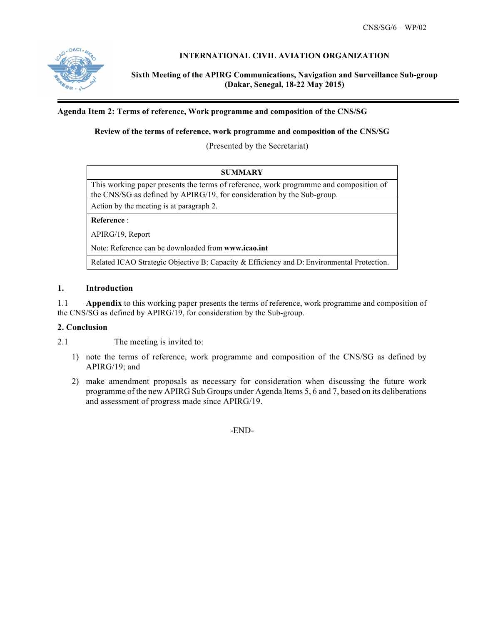

## **INTERNATIONAL CIVIL AVIATION ORGANIZATION**

**Sixth Meeting of the APIRG Communications, Navigation and Surveillance Sub-group (Dakar, Senegal, 18-22 May 2015)**

#### **Agenda Item 2: Terms of reference, Work programme and composition of the CNS/SG**

#### **Review of the terms of reference, work programme and composition of the CNS/SG**

(Presented by the Secretariat)

| <b>SUMMARY</b>                                                                                                                                                  |  |  |  |  |
|-----------------------------------------------------------------------------------------------------------------------------------------------------------------|--|--|--|--|
| This working paper presents the terms of reference, work programme and composition of<br>the CNS/SG as defined by APIRG/19, for consideration by the Sub-group. |  |  |  |  |
| Action by the meeting is at paragraph 2.                                                                                                                        |  |  |  |  |
| <b>Reference:</b>                                                                                                                                               |  |  |  |  |
| APIRG/19, Report                                                                                                                                                |  |  |  |  |
| Note: Reference can be downloaded from www.icao.int                                                                                                             |  |  |  |  |
| Related ICAO Strategic Objective B: Capacity & Efficiency and D: Environmental Protection.                                                                      |  |  |  |  |

### **1. Introduction**

1.1 **Appendix** to this working paper presents the terms of reference, work programme and composition of the CNS/SG as defined by APIRG/19, for consideration by the Sub-group.

#### **2. Conclusion**

2.1 The meeting is invited to:

- 1) note the terms of reference, work programme and composition of the CNS/SG as defined by APIRG/19; and
- 2) make amendment proposals as necessary for consideration when discussing the future work programme of the new APIRG Sub Groups under Agenda Items 5, 6 and 7, based on its deliberations and assessment of progress made since APIRG/19.

-END-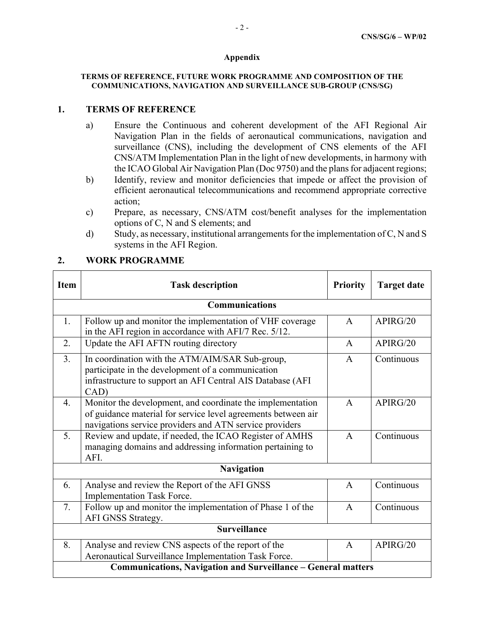#### **Appendix**

#### **TERMS OF REFERENCE, FUTURE WORK PROGRAMME AND COMPOSITION OF THE COMMUNICATIONS, NAVIGATION AND SURVEILLANCE SUB-GROUP (CNS/SG)**

### **1. TERMS OF REFERENCE**

- a) Ensure the Continuous and coherent development of the AFI Regional Air Navigation Plan in the fields of aeronautical communications, navigation and surveillance (CNS), including the development of CNS elements of the AFI CNS/ATM Implementation Plan in the light of new developments, in harmony with the ICAO Global Air Navigation Plan (Doc 9750) and the plans for adjacent regions;
- b) Identify, review and monitor deficiencies that impede or affect the provision of efficient aeronautical telecommunications and recommend appropriate corrective action;
- c) Prepare, as necessary, CNS/ATM cost/benefit analyses for the implementation options of C, N and S elements; and
- d) Study, as necessary, institutional arrangements for the implementation of C, N and S systems in the AFI Region.

| <b>Item</b>                                                   | <b>Task description</b>                                                                                                                                                                | <b>Priority</b> | <b>Target date</b> |  |
|---------------------------------------------------------------|----------------------------------------------------------------------------------------------------------------------------------------------------------------------------------------|-----------------|--------------------|--|
| <b>Communications</b>                                         |                                                                                                                                                                                        |                 |                    |  |
| 1.                                                            | Follow up and monitor the implementation of VHF coverage<br>in the AFI region in accordance with AFI/7 Rec. 5/12.                                                                      | $\mathsf{A}$    | APIRG/20           |  |
| 2.                                                            | Update the AFI AFTN routing directory                                                                                                                                                  | A               | APIRG/20           |  |
| 3 <sub>1</sub>                                                | In coordination with the ATM/AIM/SAR Sub-group,<br>participate in the development of a communication<br>infrastructure to support an AFI Central AIS Database (AFI<br>CAD)             | A               | Continuous         |  |
| $\overline{4}$ .                                              | Monitor the development, and coordinate the implementation<br>of guidance material for service level agreements between air<br>navigations service providers and ATN service providers | $\mathsf{A}$    | APIRG/20           |  |
| 5.                                                            | Review and update, if needed, the ICAO Register of AMHS<br>managing domains and addressing information pertaining to<br>AFI.                                                           | $\mathbf{A}$    | Continuous         |  |
| <b>Navigation</b>                                             |                                                                                                                                                                                        |                 |                    |  |
| 6.                                                            | Analyse and review the Report of the AFI GNSS<br><b>Implementation Task Force.</b>                                                                                                     | $\mathbf{A}$    | Continuous         |  |
| 7.                                                            | Follow up and monitor the implementation of Phase 1 of the<br>AFI GNSS Strategy.                                                                                                       | $\mathsf{A}$    | Continuous         |  |
| <b>Surveillance</b>                                           |                                                                                                                                                                                        |                 |                    |  |
| 8.                                                            | Analyse and review CNS aspects of the report of the<br>Aeronautical Surveillance Implementation Task Force.                                                                            | $\mathbf{A}$    | APIRG/20           |  |
| Communications, Navigation and Surveillance – General matters |                                                                                                                                                                                        |                 |                    |  |

## **2. WORK PROGRAMME**